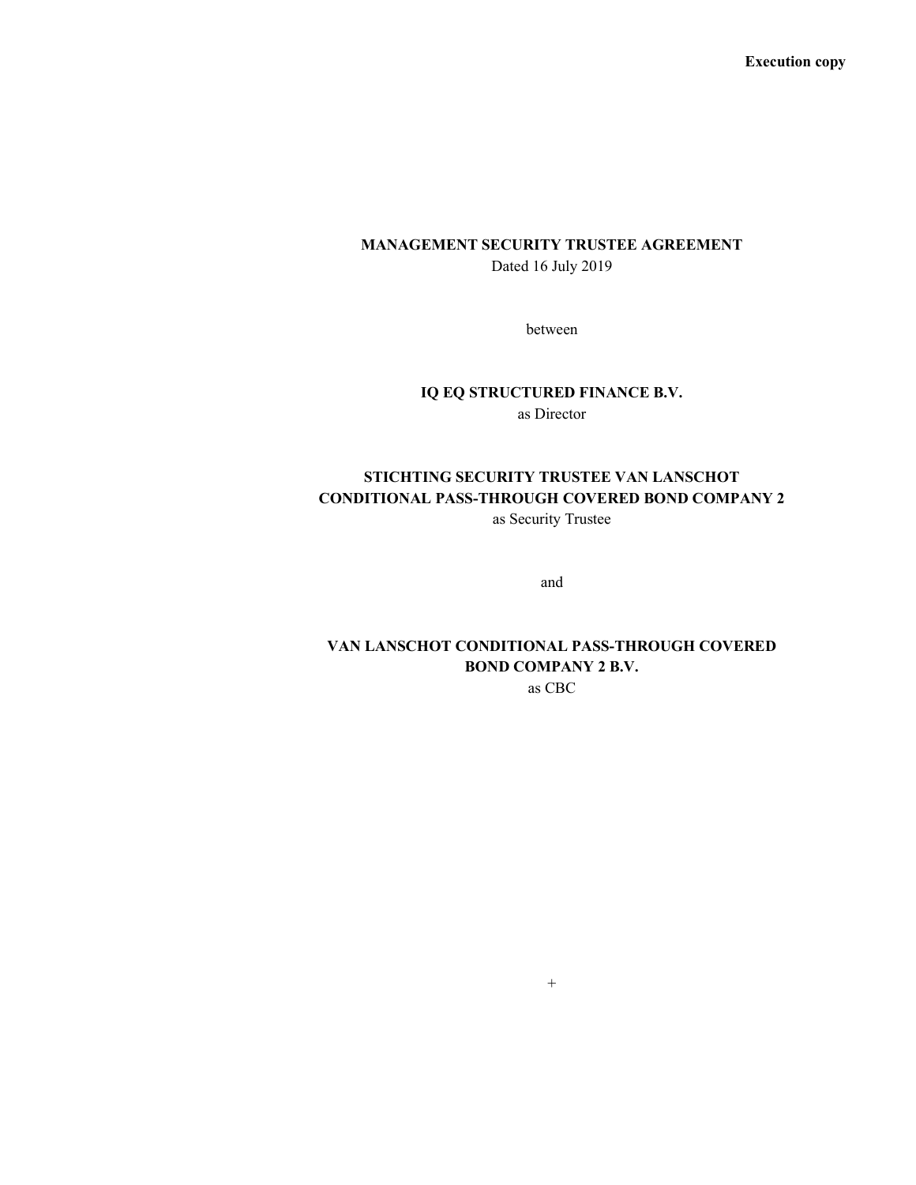Execution copy

# MANAGEMENT SECURITY TRUSTEE AGREEMENT Dated 16 July 2019

between

### IQ EQ STRUCTURED FINANCE B.V.

as Director

# STICHTING SECURITY TRUSTEE VAN LANSCHOT CONDITIONAL PASS-THROUGH COVERED BOND COMPANY 2

as Security Trustee

and

## VAN LANSCHOT CONDITIONAL PASS-THROUGH COVERED BOND COMPANY 2 B.V. as CBC

 $+$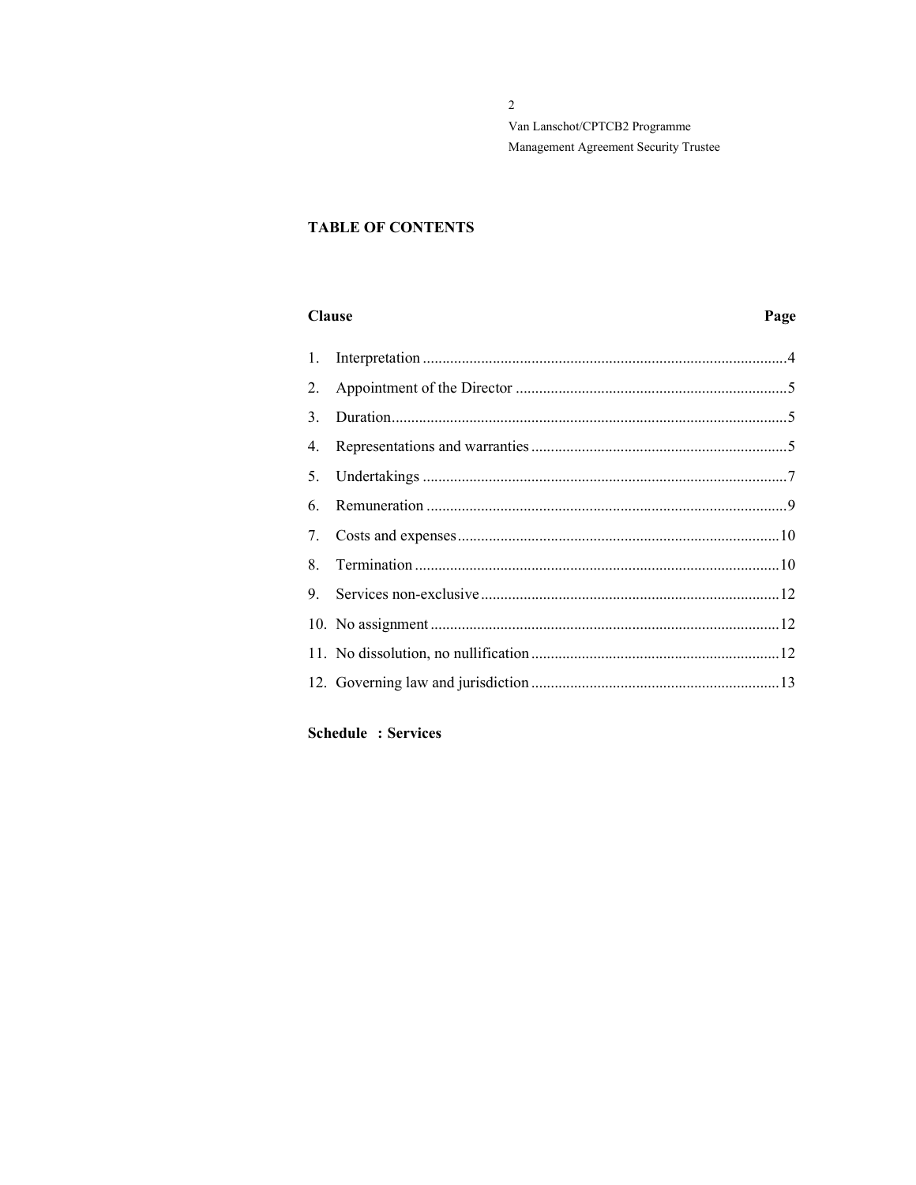# **TABLE OF CONTENTS**

### **Clause**

# Page

| 1. |  |
|----|--|
| 2. |  |
| 3. |  |
| 4. |  |
| 5. |  |
| 6. |  |
| 7. |  |
| 8. |  |
| 9. |  |
|    |  |
|    |  |
|    |  |
|    |  |

## **Schedule : Services**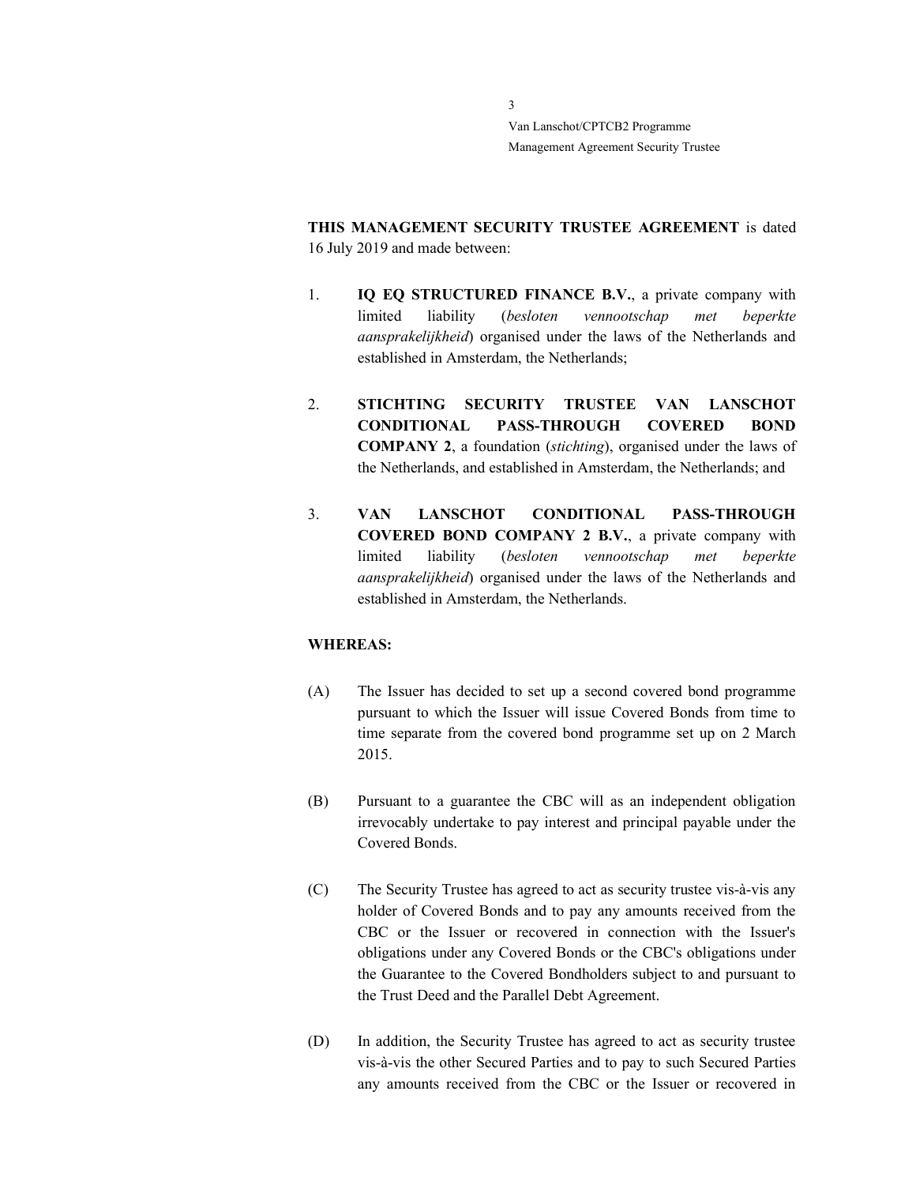> THIS MANAGEMENT SECURITY TRUSTEE AGREEMENT is dated 16 July 2019 and made between:

- 1. **IQ EQ STRUCTURED FINANCE B.V.**, a private company with limited liability (besloten vennootschap met beperkte aansprakelijkheid) organised under the laws of the Netherlands and established in Amsterdam, the Netherlands;
- 2. STICHTING SECURITY TRUSTEE VAN LANSCHOT CONDITIONAL PASS-THROUGH COVERED BOND COMPANY 2, a foundation (stichting), organised under the laws of the Netherlands, and established in Amsterdam, the Netherlands; and
- 3. VAN LANSCHOT CONDITIONAL PASS-THROUGH COVERED BOND COMPANY 2 B.V., a private company with limited liability (besloten vennootschap met beperkte aansprakelijkheid) organised under the laws of the Netherlands and established in Amsterdam, the Netherlands.

#### WHEREAS:

- (A) The Issuer has decided to set up a second covered bond programme pursuant to which the Issuer will issue Covered Bonds from time to time separate from the covered bond programme set up on 2 March 2015.
- (B) Pursuant to a guarantee the CBC will as an independent obligation irrevocably undertake to pay interest and principal payable under the Covered Bonds.
- (C) The Security Trustee has agreed to act as security trustee vis-à-vis any holder of Covered Bonds and to pay any amounts received from the CBC or the Issuer or recovered in connection with the Issuer's obligations under any Covered Bonds or the CBC's obligations under the Guarantee to the Covered Bondholders subject to and pursuant to the Trust Deed and the Parallel Debt Agreement.
- (D) In addition, the Security Trustee has agreed to act as security trustee vis-à-vis the other Secured Parties and to pay to such Secured Parties any amounts received from the CBC or the Issuer or recovered in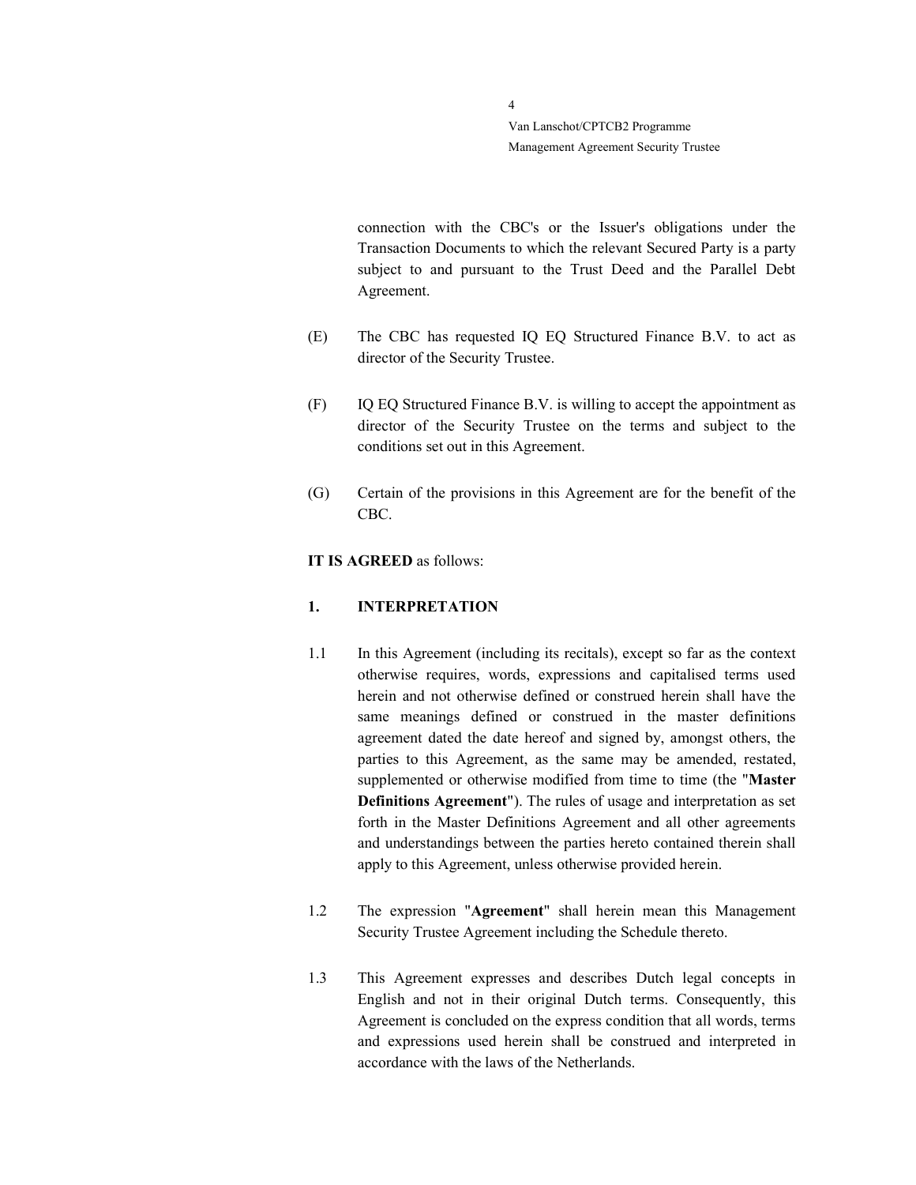> connection with the CBC's or the Issuer's obligations under the Transaction Documents to which the relevant Secured Party is a party subject to and pursuant to the Trust Deed and the Parallel Debt Agreement.

- (E) The CBC has requested IQ EQ Structured Finance B.V. to act as director of the Security Trustee.
- (F) IQ EQ Structured Finance B.V. is willing to accept the appointment as director of the Security Trustee on the terms and subject to the conditions set out in this Agreement.
- (G) Certain of the provisions in this Agreement are for the benefit of the CBC.

#### IT IS AGREED as follows:

#### 1. INTERPRETATION

- 1.1 In this Agreement (including its recitals), except so far as the context otherwise requires, words, expressions and capitalised terms used herein and not otherwise defined or construed herein shall have the same meanings defined or construed in the master definitions agreement dated the date hereof and signed by, amongst others, the parties to this Agreement, as the same may be amended, restated, supplemented or otherwise modified from time to time (the "Master Definitions Agreement"). The rules of usage and interpretation as set forth in the Master Definitions Agreement and all other agreements and understandings between the parties hereto contained therein shall apply to this Agreement, unless otherwise provided herein.
- 1.2 The expression "Agreement" shall herein mean this Management Security Trustee Agreement including the Schedule thereto.
- 1.3 This Agreement expresses and describes Dutch legal concepts in English and not in their original Dutch terms. Consequently, this Agreement is concluded on the express condition that all words, terms and expressions used herein shall be construed and interpreted in accordance with the laws of the Netherlands.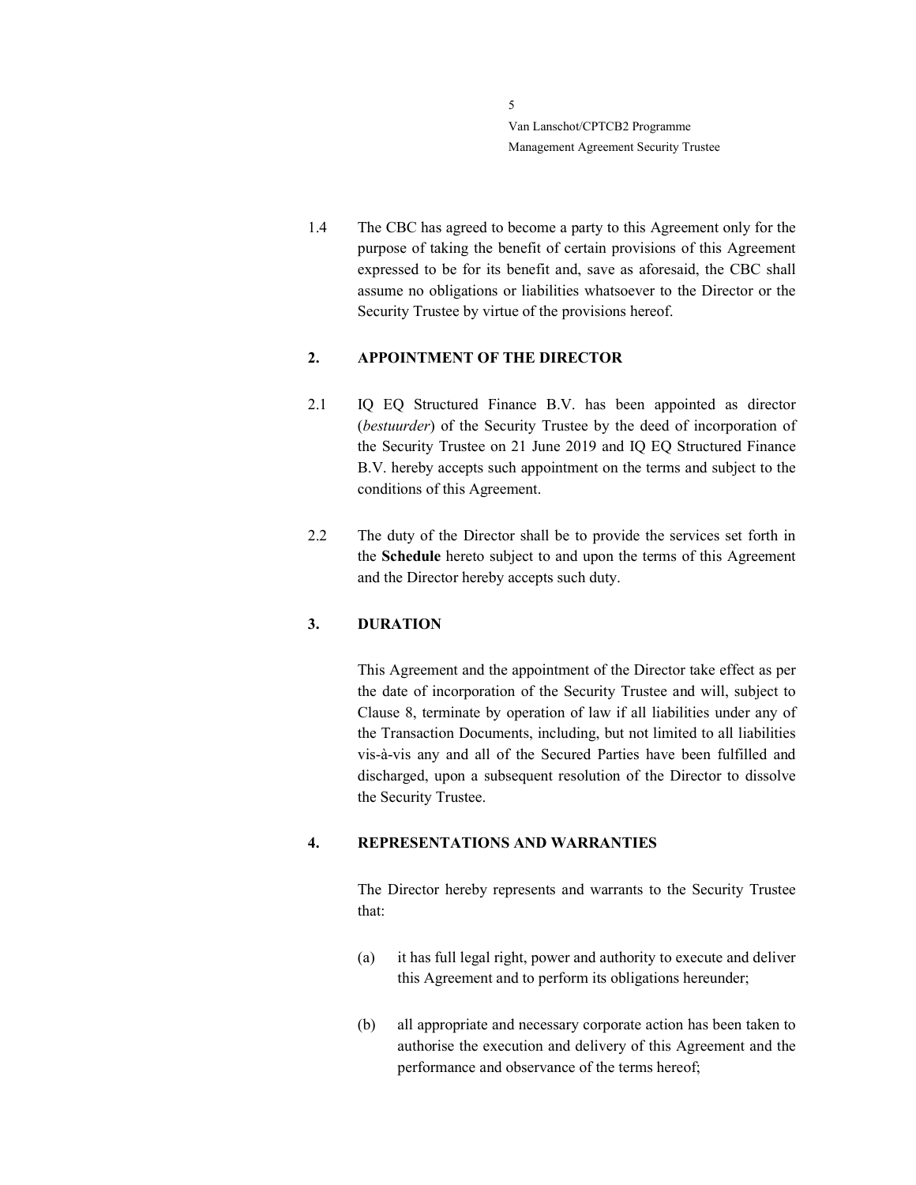> 1.4 The CBC has agreed to become a party to this Agreement only for the purpose of taking the benefit of certain provisions of this Agreement expressed to be for its benefit and, save as aforesaid, the CBC shall assume no obligations or liabilities whatsoever to the Director or the Security Trustee by virtue of the provisions hereof.

### 2. APPOINTMENT OF THE DIRECTOR

- 2.1 IQ EQ Structured Finance B.V. has been appointed as director (bestuurder) of the Security Trustee by the deed of incorporation of the Security Trustee on 21 June 2019 and IQ EQ Structured Finance B.V. hereby accepts such appointment on the terms and subject to the conditions of this Agreement.
- 2.2 The duty of the Director shall be to provide the services set forth in the Schedule hereto subject to and upon the terms of this Agreement and the Director hereby accepts such duty.

#### 3. DURATION

This Agreement and the appointment of the Director take effect as per the date of incorporation of the Security Trustee and will, subject to Clause 8, terminate by operation of law if all liabilities under any of the Transaction Documents, including, but not limited to all liabilities vis-à-vis any and all of the Secured Parties have been fulfilled and discharged, upon a subsequent resolution of the Director to dissolve the Security Trustee.

#### 4. REPRESENTATIONS AND WARRANTIES

The Director hereby represents and warrants to the Security Trustee that:

- (a) it has full legal right, power and authority to execute and deliver this Agreement and to perform its obligations hereunder;
- (b) all appropriate and necessary corporate action has been taken to authorise the execution and delivery of this Agreement and the performance and observance of the terms hereof;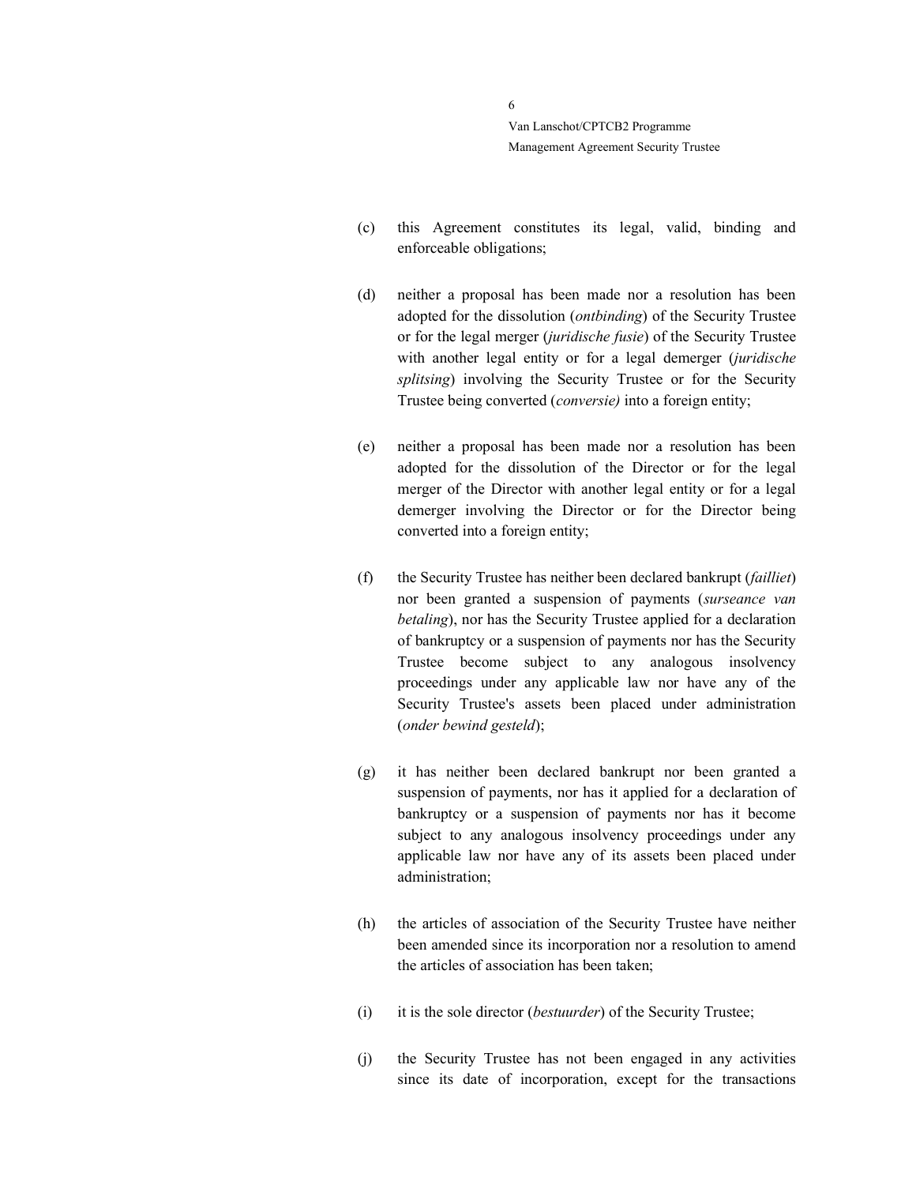- (c) this Agreement constitutes its legal, valid, binding and enforceable obligations;
- (d) neither a proposal has been made nor a resolution has been adopted for the dissolution (ontbinding) of the Security Trustee or for the legal merger (juridische fusie) of the Security Trustee with another legal entity or for a legal demerger (juridische splitsing) involving the Security Trustee or for the Security Trustee being converted (conversie) into a foreign entity;
- (e) neither a proposal has been made nor a resolution has been adopted for the dissolution of the Director or for the legal merger of the Director with another legal entity or for a legal demerger involving the Director or for the Director being converted into a foreign entity;
- (f) the Security Trustee has neither been declared bankrupt (failliet) nor been granted a suspension of payments (surseance van betaling), nor has the Security Trustee applied for a declaration of bankruptcy or a suspension of payments nor has the Security Trustee become subject to any analogous insolvency proceedings under any applicable law nor have any of the Security Trustee's assets been placed under administration (onder bewind gesteld);
- (g) it has neither been declared bankrupt nor been granted a suspension of payments, nor has it applied for a declaration of bankruptcy or a suspension of payments nor has it become subject to any analogous insolvency proceedings under any applicable law nor have any of its assets been placed under administration;
- (h) the articles of association of the Security Trustee have neither been amended since its incorporation nor a resolution to amend the articles of association has been taken;
- (i) it is the sole director (*bestuurder*) of the Security Trustee;
- (j) the Security Trustee has not been engaged in any activities since its date of incorporation, except for the transactions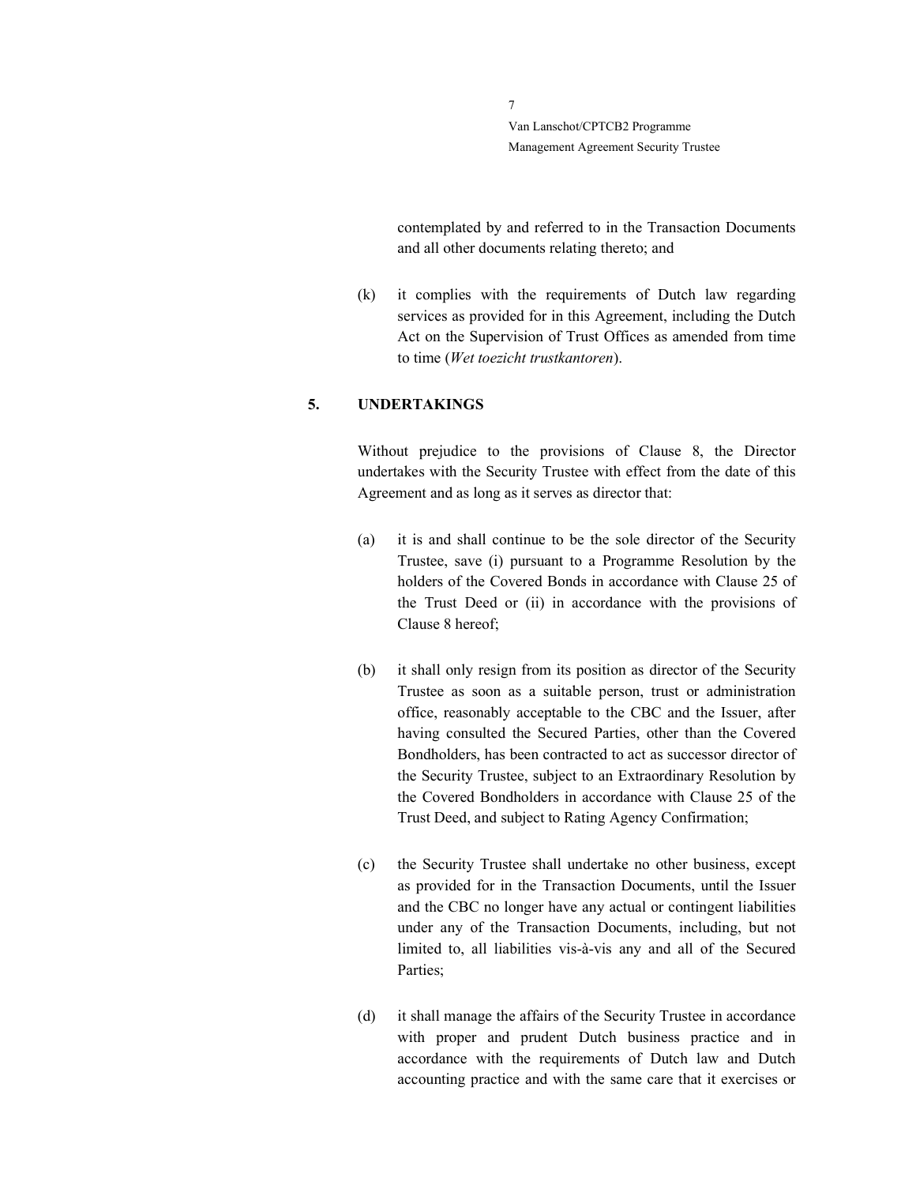> contemplated by and referred to in the Transaction Documents and all other documents relating thereto; and

(k) it complies with the requirements of Dutch law regarding services as provided for in this Agreement, including the Dutch Act on the Supervision of Trust Offices as amended from time to time (Wet toezicht trustkantoren).

### 5. UNDERTAKINGS

Without prejudice to the provisions of Clause 8, the Director undertakes with the Security Trustee with effect from the date of this Agreement and as long as it serves as director that:

- (a) it is and shall continue to be the sole director of the Security Trustee, save (i) pursuant to a Programme Resolution by the holders of the Covered Bonds in accordance with Clause 25 of the Trust Deed or (ii) in accordance with the provisions of Clause 8 hereof;
- (b) it shall only resign from its position as director of the Security Trustee as soon as a suitable person, trust or administration office, reasonably acceptable to the CBC and the Issuer, after having consulted the Secured Parties, other than the Covered Bondholders, has been contracted to act as successor director of the Security Trustee, subject to an Extraordinary Resolution by the Covered Bondholders in accordance with Clause 25 of the Trust Deed, and subject to Rating Agency Confirmation;
- (c) the Security Trustee shall undertake no other business, except as provided for in the Transaction Documents, until the Issuer and the CBC no longer have any actual or contingent liabilities under any of the Transaction Documents, including, but not limited to, all liabilities vis-à-vis any and all of the Secured Parties;
- (d) it shall manage the affairs of the Security Trustee in accordance with proper and prudent Dutch business practice and in accordance with the requirements of Dutch law and Dutch accounting practice and with the same care that it exercises or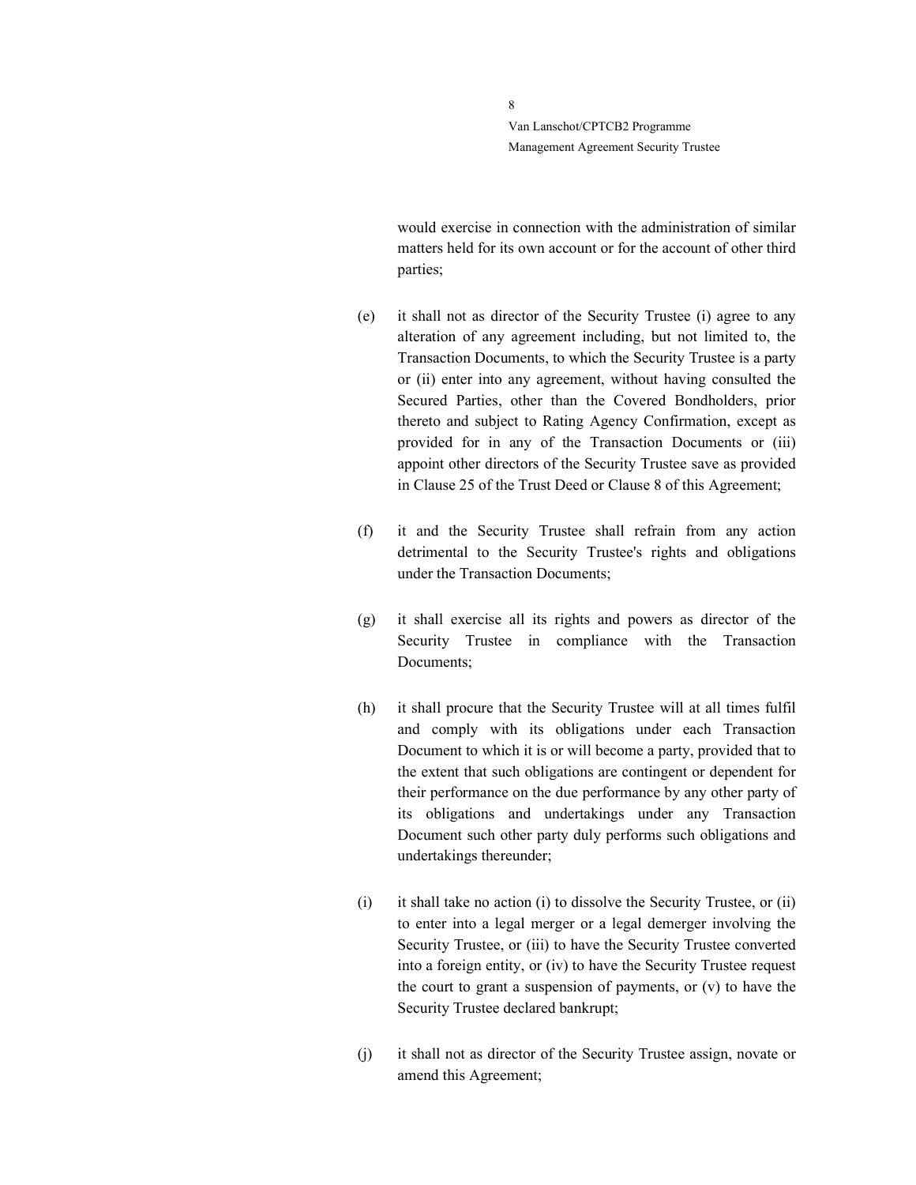> would exercise in connection with the administration of similar matters held for its own account or for the account of other third parties;

- (e) it shall not as director of the Security Trustee (i) agree to any alteration of any agreement including, but not limited to, the Transaction Documents, to which the Security Trustee is a party or (ii) enter into any agreement, without having consulted the Secured Parties, other than the Covered Bondholders, prior thereto and subject to Rating Agency Confirmation, except as provided for in any of the Transaction Documents or (iii) appoint other directors of the Security Trustee save as provided in Clause 25 of the Trust Deed or Clause 8 of this Agreement;
- (f) it and the Security Trustee shall refrain from any action detrimental to the Security Trustee's rights and obligations under the Transaction Documents;
- (g) it shall exercise all its rights and powers as director of the Security Trustee in compliance with the Transaction Documents;
- (h) it shall procure that the Security Trustee will at all times fulfil and comply with its obligations under each Transaction Document to which it is or will become a party, provided that to the extent that such obligations are contingent or dependent for their performance on the due performance by any other party of its obligations and undertakings under any Transaction Document such other party duly performs such obligations and undertakings thereunder;
- (i) it shall take no action (i) to dissolve the Security Trustee, or (ii) to enter into a legal merger or a legal demerger involving the Security Trustee, or (iii) to have the Security Trustee converted into a foreign entity, or (iv) to have the Security Trustee request the court to grant a suspension of payments, or (v) to have the Security Trustee declared bankrupt;
- (j) it shall not as director of the Security Trustee assign, novate or amend this Agreement;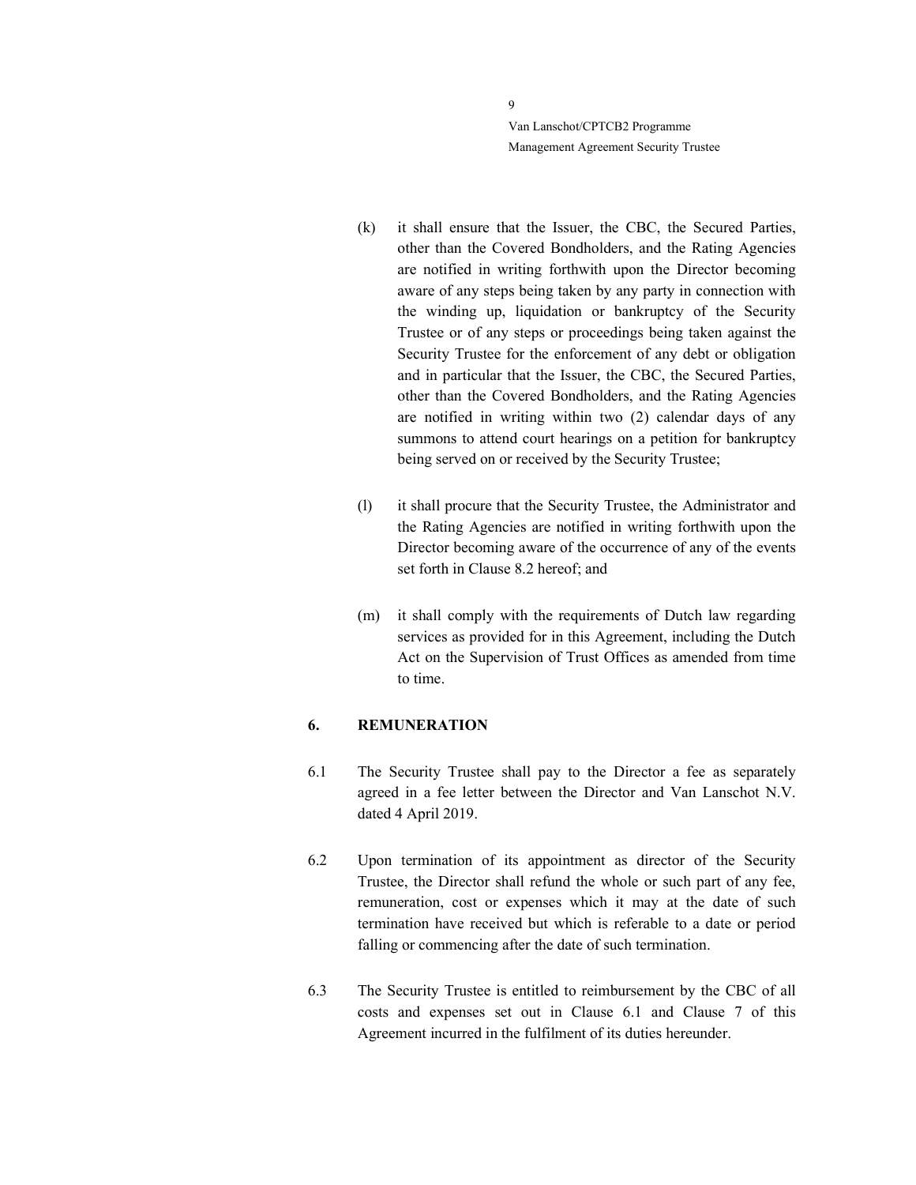- (k) it shall ensure that the Issuer, the CBC, the Secured Parties, other than the Covered Bondholders, and the Rating Agencies are notified in writing forthwith upon the Director becoming aware of any steps being taken by any party in connection with the winding up, liquidation or bankruptcy of the Security Trustee or of any steps or proceedings being taken against the Security Trustee for the enforcement of any debt or obligation and in particular that the Issuer, the CBC, the Secured Parties, other than the Covered Bondholders, and the Rating Agencies are notified in writing within two (2) calendar days of any summons to attend court hearings on a petition for bankruptcy being served on or received by the Security Trustee;
- (l) it shall procure that the Security Trustee, the Administrator and the Rating Agencies are notified in writing forthwith upon the Director becoming aware of the occurrence of any of the events set forth in Clause 8.2 hereof; and
- (m) it shall comply with the requirements of Dutch law regarding services as provided for in this Agreement, including the Dutch Act on the Supervision of Trust Offices as amended from time to time.

### 6. REMUNERATION

- 6.1 The Security Trustee shall pay to the Director a fee as separately agreed in a fee letter between the Director and Van Lanschot N.V. dated 4 April 2019.
- 6.2 Upon termination of its appointment as director of the Security Trustee, the Director shall refund the whole or such part of any fee, remuneration, cost or expenses which it may at the date of such termination have received but which is referable to a date or period falling or commencing after the date of such termination.
- 6.3 The Security Trustee is entitled to reimbursement by the CBC of all costs and expenses set out in Clause 6.1 and Clause 7 of this Agreement incurred in the fulfilment of its duties hereunder.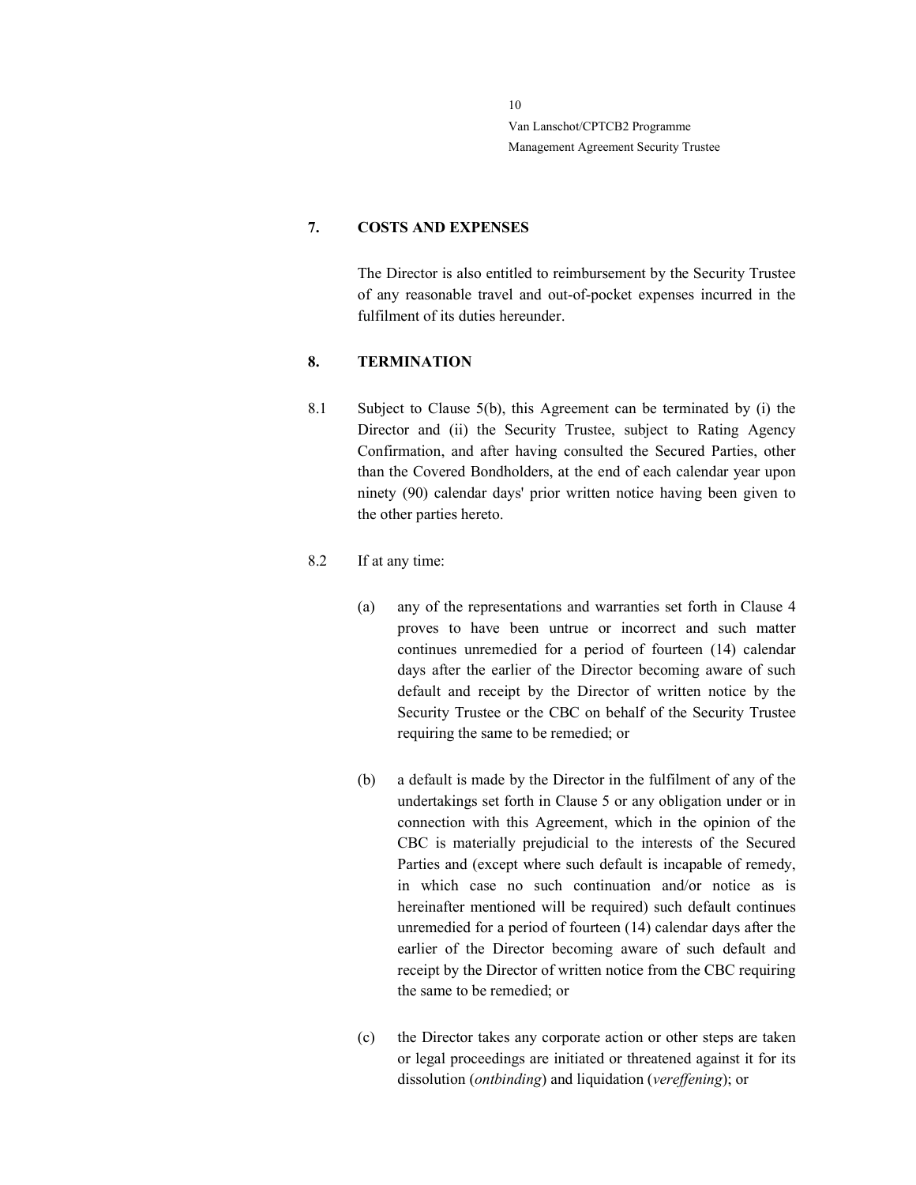#### 7. COSTS AND EXPENSES

The Director is also entitled to reimbursement by the Security Trustee of any reasonable travel and out-of-pocket expenses incurred in the fulfilment of its duties hereunder.

### 8. TERMINATION

8.1 Subject to Clause 5(b), this Agreement can be terminated by (i) the Director and (ii) the Security Trustee, subject to Rating Agency Confirmation, and after having consulted the Secured Parties, other than the Covered Bondholders, at the end of each calendar year upon ninety (90) calendar days' prior written notice having been given to the other parties hereto.

### 8.2 If at any time:

- (a) any of the representations and warranties set forth in Clause 4 proves to have been untrue or incorrect and such matter continues unremedied for a period of fourteen (14) calendar days after the earlier of the Director becoming aware of such default and receipt by the Director of written notice by the Security Trustee or the CBC on behalf of the Security Trustee requiring the same to be remedied; or
- (b) a default is made by the Director in the fulfilment of any of the undertakings set forth in Clause 5 or any obligation under or in connection with this Agreement, which in the opinion of the CBC is materially prejudicial to the interests of the Secured Parties and (except where such default is incapable of remedy, in which case no such continuation and/or notice as is hereinafter mentioned will be required) such default continues unremedied for a period of fourteen (14) calendar days after the earlier of the Director becoming aware of such default and receipt by the Director of written notice from the CBC requiring the same to be remedied; or
- (c) the Director takes any corporate action or other steps are taken or legal proceedings are initiated or threatened against it for its dissolution (ontbinding) and liquidation (vereffening); or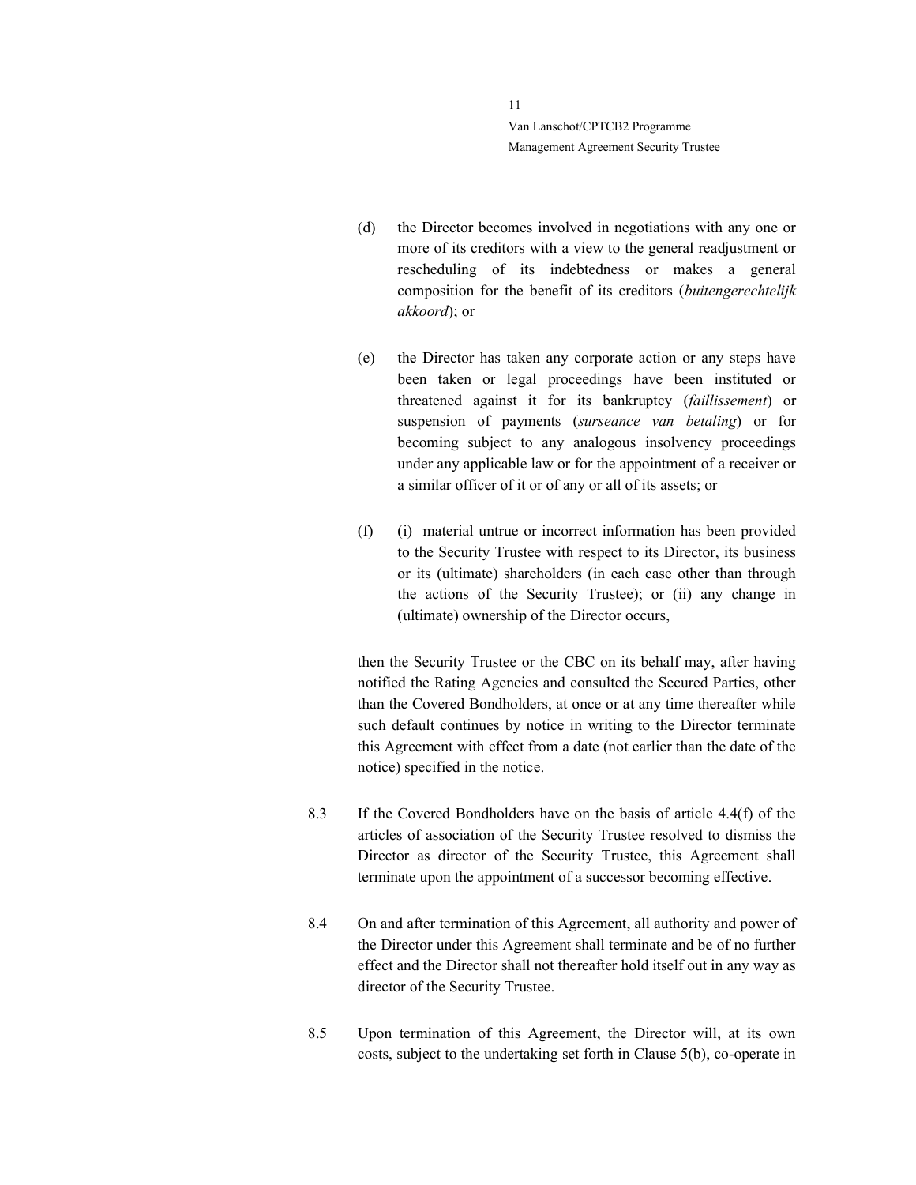- (d) the Director becomes involved in negotiations with any one or more of its creditors with a view to the general readjustment or rescheduling of its indebtedness or makes a general composition for the benefit of its creditors (buitengerechtelijk akkoord); or
- (e) the Director has taken any corporate action or any steps have been taken or legal proceedings have been instituted or threatened against it for its bankruptcy (faillissement) or suspension of payments (surseance van betaling) or for becoming subject to any analogous insolvency proceedings under any applicable law or for the appointment of a receiver or a similar officer of it or of any or all of its assets; or
- (f) (i) material untrue or incorrect information has been provided to the Security Trustee with respect to its Director, its business or its (ultimate) shareholders (in each case other than through the actions of the Security Trustee); or (ii) any change in (ultimate) ownership of the Director occurs,

then the Security Trustee or the CBC on its behalf may, after having notified the Rating Agencies and consulted the Secured Parties, other than the Covered Bondholders, at once or at any time thereafter while such default continues by notice in writing to the Director terminate this Agreement with effect from a date (not earlier than the date of the notice) specified in the notice.

- 8.3 If the Covered Bondholders have on the basis of article 4.4(f) of the articles of association of the Security Trustee resolved to dismiss the Director as director of the Security Trustee, this Agreement shall terminate upon the appointment of a successor becoming effective.
- 8.4 On and after termination of this Agreement, all authority and power of the Director under this Agreement shall terminate and be of no further effect and the Director shall not thereafter hold itself out in any way as director of the Security Trustee.
- 8.5 Upon termination of this Agreement, the Director will, at its own costs, subject to the undertaking set forth in Clause 5(b), co-operate in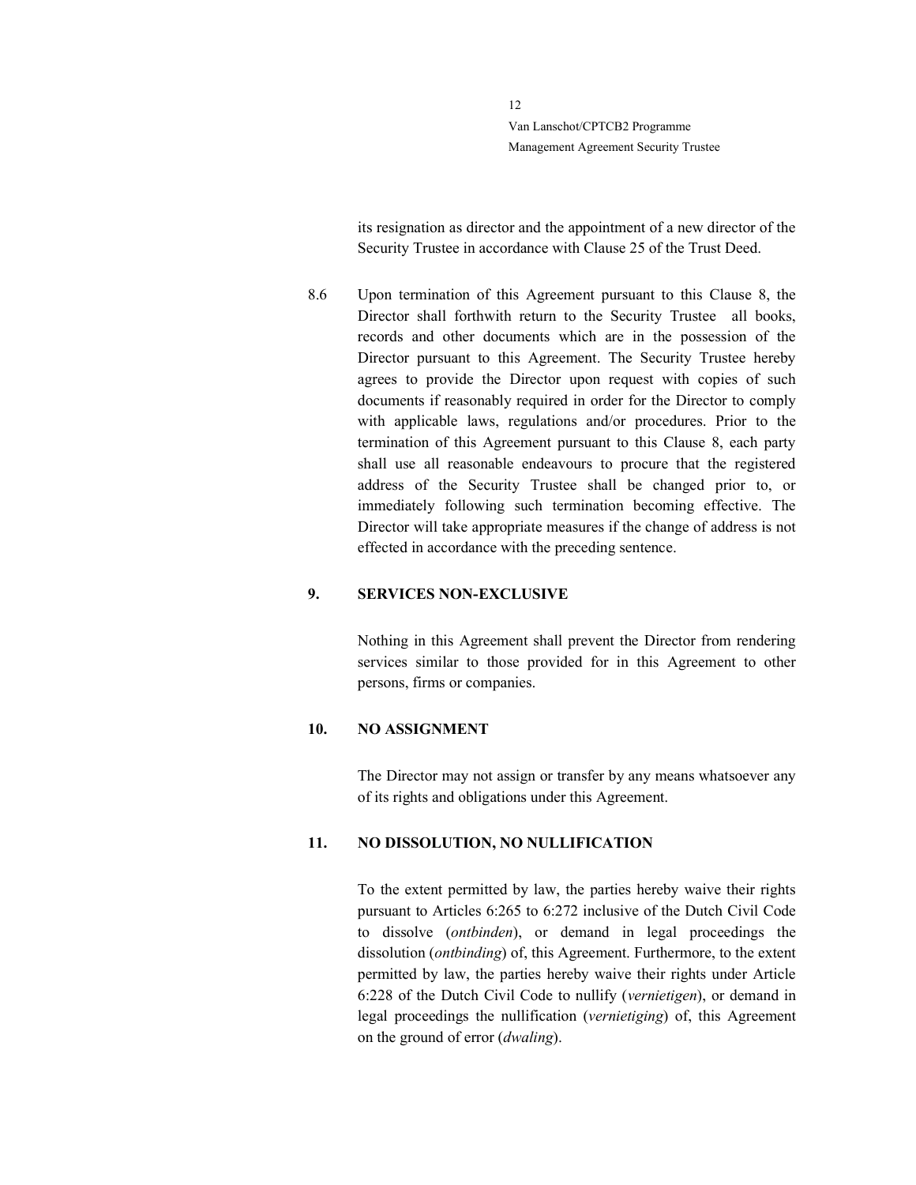> its resignation as director and the appointment of a new director of the Security Trustee in accordance with Clause 25 of the Trust Deed.

8.6 Upon termination of this Agreement pursuant to this Clause 8, the Director shall forthwith return to the Security Trustee all books, records and other documents which are in the possession of the Director pursuant to this Agreement. The Security Trustee hereby agrees to provide the Director upon request with copies of such documents if reasonably required in order for the Director to comply with applicable laws, regulations and/or procedures. Prior to the termination of this Agreement pursuant to this Clause 8, each party shall use all reasonable endeavours to procure that the registered address of the Security Trustee shall be changed prior to, or immediately following such termination becoming effective. The Director will take appropriate measures if the change of address is not effected in accordance with the preceding sentence.

### 9. SERVICES NON-EXCLUSIVE

Nothing in this Agreement shall prevent the Director from rendering services similar to those provided for in this Agreement to other persons, firms or companies.

#### 10. NO ASSIGNMENT

The Director may not assign or transfer by any means whatsoever any of its rights and obligations under this Agreement.

#### 11. NO DISSOLUTION, NO NULLIFICATION

To the extent permitted by law, the parties hereby waive their rights pursuant to Articles 6:265 to 6:272 inclusive of the Dutch Civil Code to dissolve (ontbinden), or demand in legal proceedings the dissolution (ontbinding) of, this Agreement. Furthermore, to the extent permitted by law, the parties hereby waive their rights under Article 6:228 of the Dutch Civil Code to nullify (vernietigen), or demand in legal proceedings the nullification (vernietiging) of, this Agreement on the ground of error (dwaling).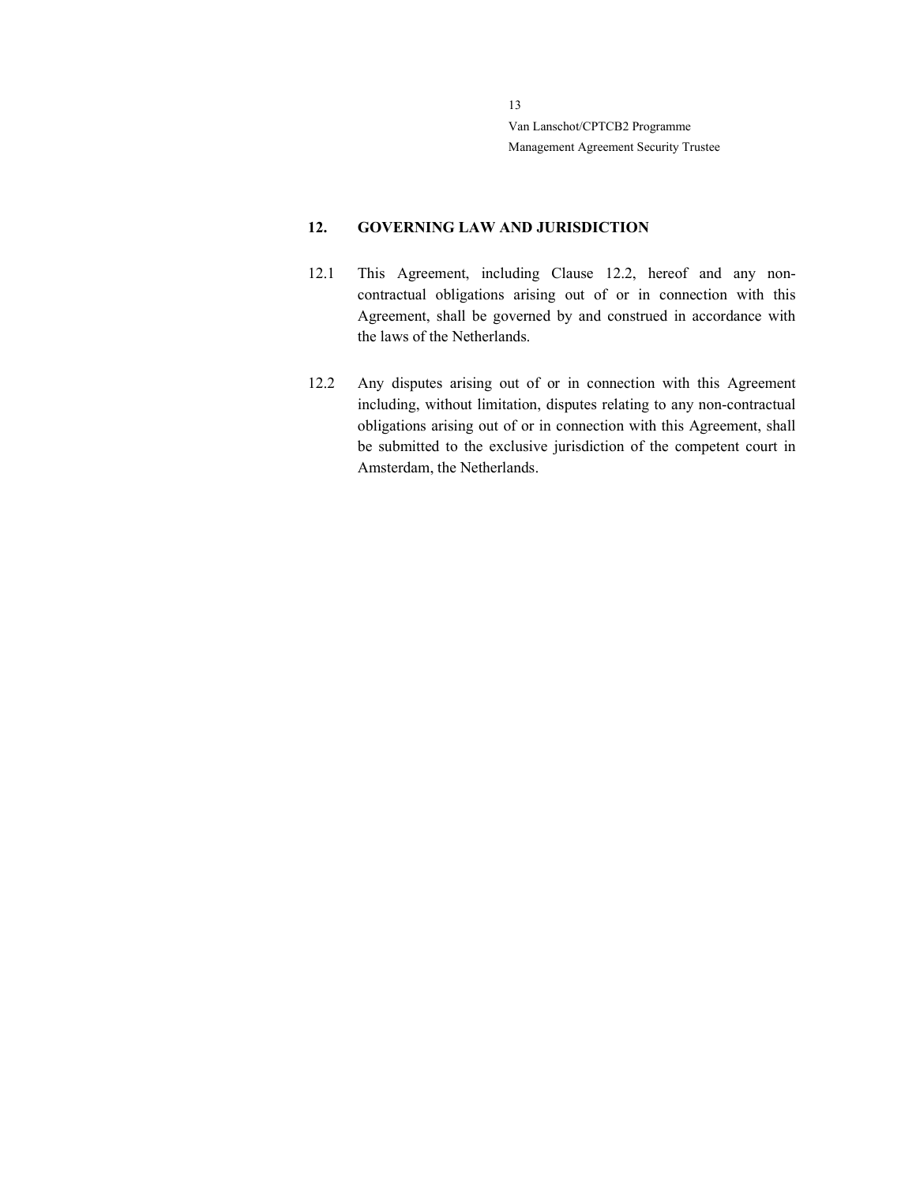### 12. GOVERNING LAW AND JURISDICTION

- 12.1 This Agreement, including Clause 12.2, hereof and any noncontractual obligations arising out of or in connection with this Agreement, shall be governed by and construed in accordance with the laws of the Netherlands.
- 12.2 Any disputes arising out of or in connection with this Agreement including, without limitation, disputes relating to any non-contractual obligations arising out of or in connection with this Agreement, shall be submitted to the exclusive jurisdiction of the competent court in Amsterdam, the Netherlands.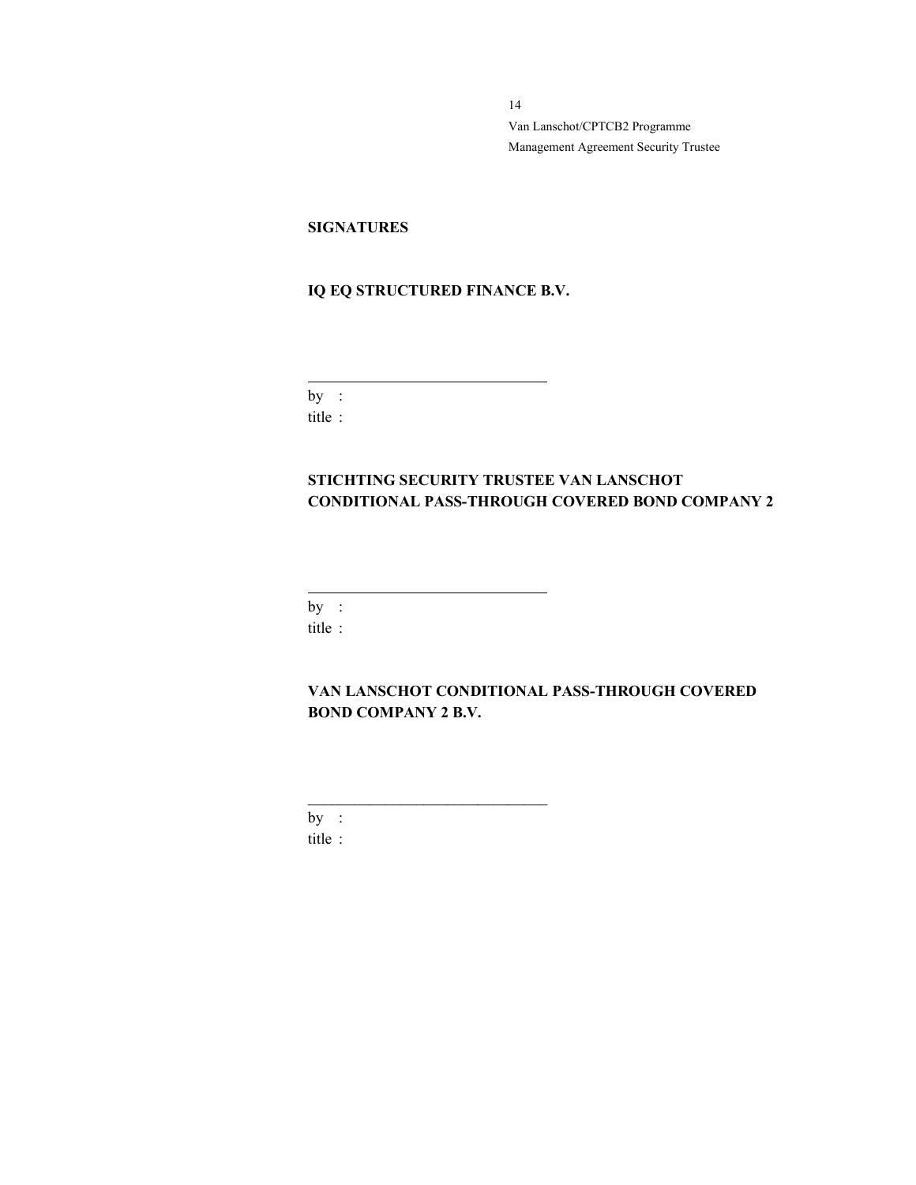### **SIGNATURES**

# IQ EQ STRUCTURED FINANCE B.V.

 $by:$ title :

 $\overline{a}$ 

# STICHTING SECURITY TRUSTEE VAN LANSCHOT CONDITIONAL PASS-THROUGH COVERED BOND COMPANY 2

by : title :

 $\overline{a}$ 

VAN LANSCHOT CONDITIONAL PASS-THROUGH COVERED BOND COMPANY 2 B.V.

 $by:$ title :